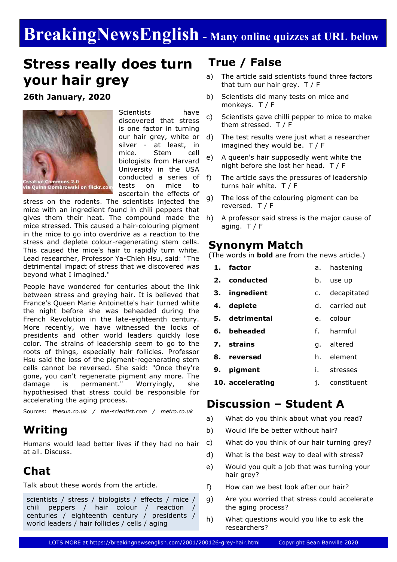# **BreakingNewsEnglish - Many online quizzes at URL below**

## **Stress really does turn your hair grey**

**26th January, 2020**



Scientists have discovered that stress is one factor in turning our hair grey, white or silver - at least, in mice. Stem cell biologists from Harvard University in the USA conducted a series of tests on mice to ascertain the effects of

stress on the rodents. The scientists injected the mice with an ingredient found in chili peppers that gives them their heat. The compound made the mice stressed. This caused a hair-colouring pigment in the mice to go into overdrive as a reaction to the stress and deplete colour-regenerating stem cells. This caused the mice's hair to rapidly turn white. Lead researcher, Professor Ya-Chieh Hsu, said: "The detrimental impact of stress that we discovered was beyond what I imagined."

People have wondered for centuries about the link between stress and greying hair. It is believed that France's Queen Marie Antoinette's hair turned white the night before she was beheaded during the French Revolution in the late-eighteenth century. More recently, we have witnessed the locks of presidents and other world leaders quickly lose color. The strains of leadership seem to go to the roots of things, especially hair follicles. Professor Hsu said the loss of the pigment-regenerating stem cells cannot be reversed. She said: "Once they're gone, you can't regenerate pigment any more. The damage is permanent." Worryingly, she hypothesised that stress could be responsible for accelerating the aging process.

Sources: *thesun.co.uk / the-scientist.com / metro.co.uk*

### **Writing**

Humans would lead better lives if they had no hair at all. Discuss.

### **Chat**

Talk about these words from the article.

scientists / stress / biologists / effects / mice / chili peppers / hair colour / reaction / centuries / eighteenth century / presidents / world leaders / hair follicles / cells / aging

### **True / False**

- a) The article said scientists found three factors that turn our hair grey. T / F
- b) Scientists did many tests on mice and monkeys. T / F
- c) Scientists gave chilli pepper to mice to make them stressed. T / F
- d) The test results were just what a researcher imagined they would be. T / F
- e) A queen's hair supposedly went white the night before she lost her head. T / F
- f) The article says the pressures of leadership turns hair white. T / F
- g) The loss of the colouring pigment can be reversed. T / F
- h) A professor said stress is the major cause of aging.  $T / F$

#### **Synonym Match**

(The words in **bold** are from the news article.)

|    | 1. factor      | а.             | hastening   |  |
|----|----------------|----------------|-------------|--|
|    | 2. conducted   | b.             | use up      |  |
| з. | ingredient     | c.             | decapitated |  |
|    | 4. deplete     | d.             | carried out |  |
|    | 5. detrimental | $\mathsf{P}$ . | colour      |  |
|    | 6. beheaded    |                | f. harmful  |  |
|    | 7. strains     | q.             | altered     |  |
| 8. | reversed       |                | h. element  |  |
| 9. | pigment        | İ.             | stresses    |  |

**10. accelerating** j. constituent

### **Discussion – Student A**

- a) What do you think about what you read?
- b) Would life be better without hair?
- c) What do you think of our hair turning grey?
- d) What is the best way to deal with stress?
- e) Would you quit a job that was turning your hair grey?
- f) How can we best look after our hair?
- g) Are you worried that stress could accelerate the aging process?
- h) What questions would you like to ask the researchers?